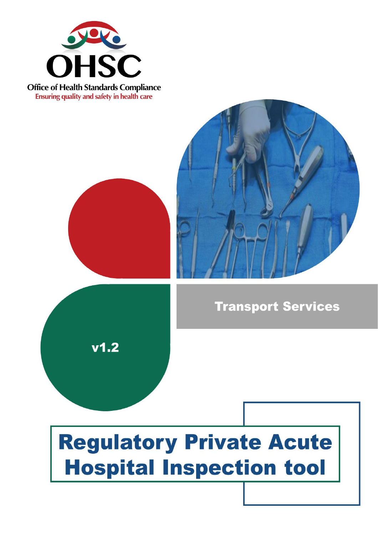

**Office of Health Standards Compliance** Ensuring quality and safety in health care





**Transport Services** 

# **Regulatory Private Acute Hospital Inspection tool**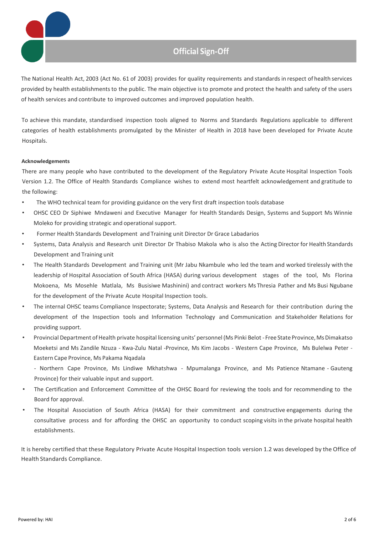

The National Health Act, 2003 (Act No. 61 of 2003) provides for quality requirements and standards in respect of health services provided by health establishments to the public. The main objective is to promote and protect the health and safety of the users of health services and contribute to improved outcomes and improved population health.

To achieve this mandate, standardised inspection tools aligned to Norms and Standards Regulations applicable to different categories of health establishments promulgated by the Minister of Health in 2018 have been developed for Private Acute Hospitals.

#### **Acknowledgements**

There are many people who have contributed to the development of the Regulatory Private Acute Hospital Inspection Tools Version 1.2. The Office of Health Standards Compliance wishes to extend most heartfelt acknowledgement and gratitude to the following:

- The WHO technical team for providing guidance on the very first draft inspection tools database
- OHSC CEO Dr Siphiwe Mndaweni and Executive Manager for Health Standards Design, Systems and Support Ms Winnie Moleko for providing strategic and operational support.
- Former Health Standards Development and Training unit Director Dr Grace Labadarios
- Systems, Data Analysis and Research unit Director Dr Thabiso Makola who is also the Acting Director for Health Standards Development and Training unit
- The Health Standards Development and Training unit (Mr Jabu Nkambule who led the team and worked tirelessly with the leadership of Hospital Association of South Africa (HASA) during various development stages of the tool, Ms Florina Mokoena, Ms Mosehle Matlala, Ms Busisiwe Mashinini) and contract workers Ms Thresia Pather and Ms Busi Ngubane for the development of the Private Acute Hospital Inspection tools.
- The internal OHSC teams Compliance Inspectorate; Systems, Data Analysis and Research for their contribution during the development of the Inspection tools and Information Technology and Communication and Stakeholder Relations for providing support.
- Provincial Department of Health private hospital licensing units' personnel (Ms Pinki Belot Free State Province, Ms Dimakatso Moeketsi and Ms Zandile Nzuza - Kwa-Zulu Natal -Province, Ms Kim Jacobs - Western Cape Province, Ms Bulelwa Peter - Eastern Cape Province, Ms Pakama Nqadala

- Northern Cape Province, Ms Lindiwe Mkhatshwa - Mpumalanga Province, and Ms Patience Ntamane - Gauteng Province) for their valuable input and support.

- The Certification and Enforcement Committee of the OHSC Board for reviewing the tools and for recommending to the Board for approval.
- The Hospital Association of South Africa (HASA) for their commitment and constructive engagements during the consultative process and for affording the OHSC an opportunity to conduct scoping visits in the private hospital health establishments.

It is hereby certified that these Regulatory Private Acute Hospital Inspection tools version 1.2 was developed by the Office of Health Standards Compliance.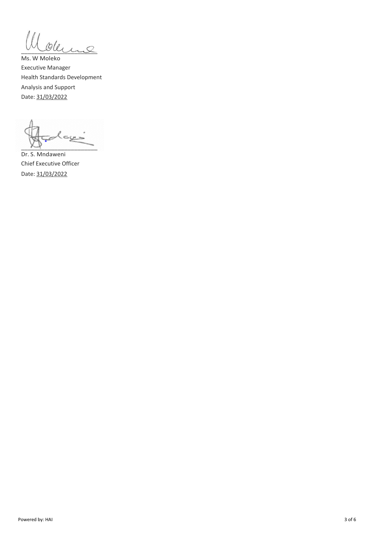Ill overme

Ms. W Moleko Executive Manager Health Standards Development Analysis and Support Date: 31/03/2022

أديية  $\sim$   $\sim$ 

Dr. S. Mndaweni Chief Executive Officer Date: 31/03/2022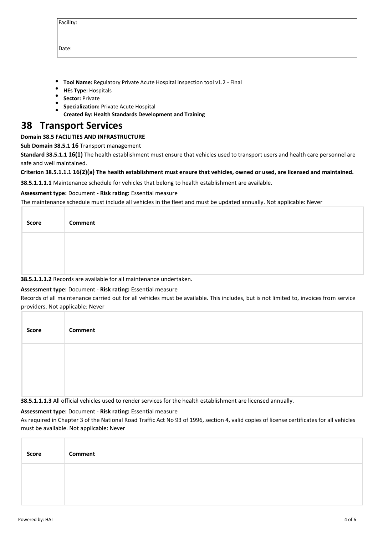| acility<br>г |  |
|--------------|--|
|              |  |

Date:

- **Tool Name:** Regulatory Private Acute Hospital inspection tool v1.2 Final
- **HEs Type:** Hospitals
- **Sector:** Private
- **Specialization:** Private Acute Hospital
- **Created By: Health Standards Development and Training**

# **38 Transport Services**

# **Domain 38.5 FACILITIES AND INFRASTRUCTURE**

**Sub Domain 38.5.1 16** Transport management

**Standard 38.5.1.1 16(1)** The health establishment must ensure that vehicles used to transport users and health care personnel are safe and well maintained.

#### **Criterion 38.5.1.1.1 16(2)(a) The health establishment must ensure that vehicles, owned or used, are licensed and maintained.**

**38.5.1.1.1.1** Maintenance schedule for vehicles that belong to health establishment are available.

#### **Assessment type:** Document - **Risk rating:** Essential measure

The maintenance schedule must include all vehicles in the fleet and must be updated annually. Not applicable: Never

| Score | Comment                                                             |
|-------|---------------------------------------------------------------------|
|       |                                                                     |
|       |                                                                     |
|       | 30 F 4 4 4 3 Desarde are available far all maintenance vindertakers |

#### **38.5.1.1.1.2** Records are available for all maintenance undertaken.

# **Assessment type:** Document - **Risk rating:** Essential measure

Records of all maintenance carried out for all vehicles must be available. This includes, but is not limited to, invoices from service providers. Not applicable: Never

| Score | Comment |
|-------|---------|
|       |         |
|       |         |

#### **38.5.1.1.1.3** All official vehicles used to render services for the health establishment are licensed annually.

# **Assessment type:** Document - **Risk rating:** Essential measure

As required in Chapter 3 of the National Road Traffic Act No 93 of 1996, section 4, valid copies of license certificates for all vehicles must be available. Not applicable: Never

| Score | Comment |
|-------|---------|
|       |         |
|       |         |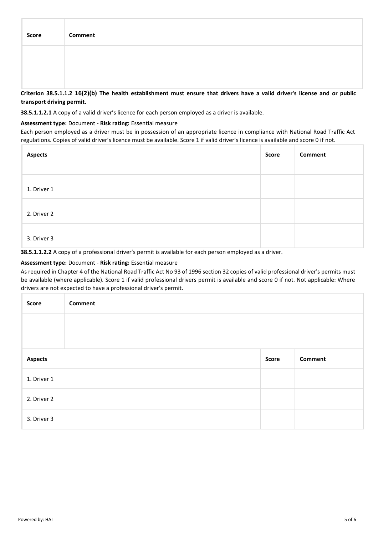| <b>Score</b> | Comment |
|--------------|---------|
|              |         |
|              |         |

**Criterion 38.5.1.1.2 16(2)(b) The health establishment must ensure that drivers have a valid driver's license and or public transport driving permit.**

**38.5.1.1.2.1** A copy of a valid driver's licence for each person employed as a driver is available.

#### **Assessment type:** Document - **Risk rating:** Essential measure

Each person employed as a driver must be in possession of an appropriate licence in compliance with National Road Traffic Act regulations. Copies of valid driver's licence must be available. Score 1 if valid driver's licence is available and score 0 if not.

| <b>Aspects</b> | Score | Comment |
|----------------|-------|---------|
|                |       |         |
| 1. Driver 1    |       |         |
| 2. Driver 2    |       |         |
| 3. Driver 3    |       |         |

**38.5.1.1.2.2** A copy of a professional driver's permit is available for each person employed as a driver.

### **Assessment type:** Document - **Risk rating:** Essential measure

As required in Chapter 4 of the National Road Traffic Act No 93 of 1996 section 32 copies of valid professional driver's permits must be available (where applicable). Score 1 if valid professional drivers permit is available and score 0 if not. Not applicable: Where drivers are not expected to have a professional driver's permit.

| Score          | <b>Comment</b> |              |                |
|----------------|----------------|--------------|----------------|
|                |                |              |                |
|                |                |              |                |
| <b>Aspects</b> |                | <b>Score</b> | <b>Comment</b> |
| 1. Driver 1    |                |              |                |
| 2. Driver 2    |                |              |                |
| 3. Driver 3    |                |              |                |